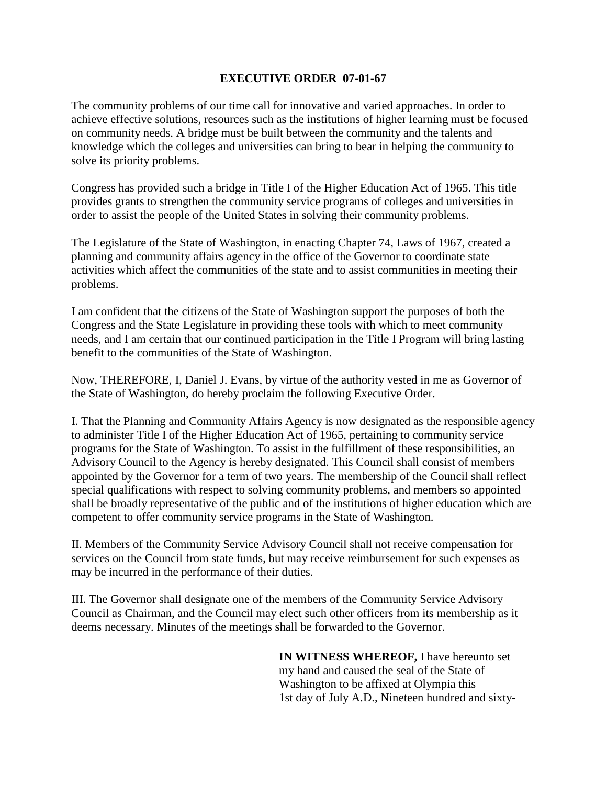## **EXECUTIVE ORDER 07-01-67**

The community problems of our time call for innovative and varied approaches. In order to achieve effective solutions, resources such as the institutions of higher learning must be focused on community needs. A bridge must be built between the community and the talents and knowledge which the colleges and universities can bring to bear in helping the community to solve its priority problems.

Congress has provided such a bridge in Title I of the Higher Education Act of 1965. This title provides grants to strengthen the community service programs of colleges and universities in order to assist the people of the United States in solving their community problems.

The Legislature of the State of Washington, in enacting Chapter 74, Laws of 1967, created a planning and community affairs agency in the office of the Governor to coordinate state activities which affect the communities of the state and to assist communities in meeting their problems.

I am confident that the citizens of the State of Washington support the purposes of both the Congress and the State Legislature in providing these tools with which to meet community needs, and I am certain that our continued participation in the Title I Program will bring lasting benefit to the communities of the State of Washington.

Now, THEREFORE, I, Daniel J. Evans, by virtue of the authority vested in me as Governor of the State of Washington, do hereby proclaim the following Executive Order.

I. That the Planning and Community Affairs Agency is now designated as the responsible agency to administer Title I of the Higher Education Act of 1965, pertaining to community service programs for the State of Washington. To assist in the fulfillment of these responsibilities, an Advisory Council to the Agency is hereby designated. This Council shall consist of members appointed by the Governor for a term of two years. The membership of the Council shall reflect special qualifications with respect to solving community problems, and members so appointed shall be broadly representative of the public and of the institutions of higher education which are competent to offer community service programs in the State of Washington.

II. Members of the Community Service Advisory Council shall not receive compensation for services on the Council from state funds, but may receive reimbursement for such expenses as may be incurred in the performance of their duties.

III. The Governor shall designate one of the members of the Community Service Advisory Council as Chairman, and the Council may elect such other officers from its membership as it deems necessary. Minutes of the meetings shall be forwarded to the Governor.

> **IN WITNESS WHEREOF,** I have hereunto set my hand and caused the seal of the State of Washington to be affixed at Olympia this 1st day of July A.D., Nineteen hundred and sixty